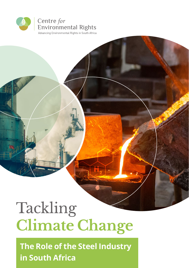

## Tackling **Climate Change**

**The Role of the Steel Industry in South Africa**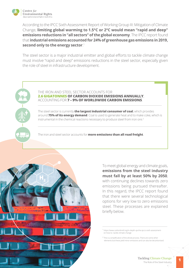

According to the IPCC Sixth Assessment Report of Working Group III: Mitigation of Climate Change, **limiting global warming to 1.5°C or 2°C would mean "rapid and deep" emissions reductions in "all sectors" of the global economy**. The IPCC report found that **industrial emissions accounted for 24% of greenhouse gas emissions in 2019, second only to the energy sector**. 1

The steel sector is a major industrial emitter and global efforts to tackle climate change must involve "rapid and deep" emissions reductions in the steel sector, especially given the role of steel in infrastructure development.



The steel sector is currently **the largest industrial consumer of coal**, which provides around **75% of its energy demand**. Coal is used to generate heat and to make coke, which is instrumental in the chemical reactions necessary to produce steel from iron ore.<sup>2</sup>

The iron and steel sector accounts for **more emissions than all road freight**.



To meet global energy and climate goals, **emissions from the steel industry must fall by at least 50% by 2050**, with continuing declines towards zero emissions being pursued thereafter. In this regard, the IPCC report found that there were several technological options for very low to zero emissions steel. These processes are explained briefly below.

 $2$  This is a simplification of the whole process. There are some other elements but these yield minor emissions and can also be decarbonised.

<sup>1</sup> https://www.carbonbrief.org/in-depth-qa-the-ipccs-sixth-assessment on-how-to- tackle-climate-change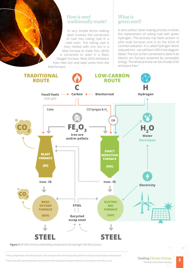## How is steel traditionally made?

In very simple terms making steel involves the conversion of coal into coking coal in a coke oven. The coking coal is then melted with iron ore in a blast furnace to make iron, which is converted to steel in a Basic Oxygen Furnace. Most GHG emissions from new iron and steel come from the blast furnace.

## What is green steel?

A zero-carbon steel-making process involves the replacement of coking coal with green hydrogen. This process has been proven in pilot scale furnaces and is on the brink of commercialisation. It is called hydrogen direct reduced iron – we call that H-DRI in the diagram below. The iron is then converted to steel in an electric arc furnace powered by renewable energy. The whole process can be virtually GHG emissions free.3



**Figure 1:** BF-BOF primary steelmaking compared to the hydrogen DRI-EAF process.<sup>4</sup>

<sup>3</sup> This is a simplification of the whole process. There are some other elements but these yield minor emissions and can also be decarbonised.

<sup>4</sup><https://www.iddri.org/en/publications-and-events/scientific-publication/how-green-primary-iron-production-south-africa-could>